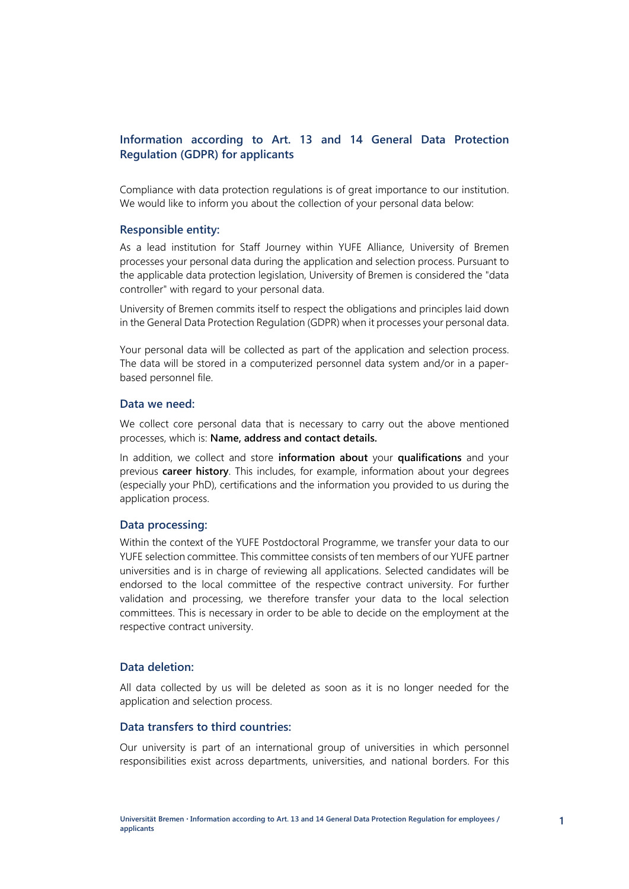# **Information according to Art. 13 and 14 General Data Protection Regulation (GDPR) for applicants**

Compliance with data protection regulations is of great importance to our institution. We would like to inform you about the collection of your personal data below:

#### **Responsible entity:**

As a lead institution for Staff Journey within YUFE Alliance, University of Bremen processes your personal data during the application and selection process. Pursuant to the applicable data protection legislation, University of Bremen is considered the "data controller" with regard to your personal data.

University of Bremen commits itself to respect the obligations and principles laid down in the General Data Protection Regulation (GDPR) when it processes your personal data.

Your personal data will be collected as part of the application and selection process. The data will be stored in a computerized personnel data system and/or in a paperbased personnel file.

### **Data we need:**

We collect core personal data that is necessary to carry out the above mentioned processes, which is: **Name, address and contact details.** 

In addition, we collect and store **information about** your **qualifications** and your previous **career history**. This includes, for example, information about your degrees (especially your PhD), certifications and the information you provided to us during the application process.

## **Data processing:**

Within the context of the YUFE Postdoctoral Programme, we transfer your data to our YUFE selection committee. This committee consists of ten members of our YUFE partner universities and is in charge of reviewing all applications. Selected candidates will be endorsed to the local committee of the respective contract university. For further validation and processing, we therefore transfer your data to the local selection committees. This is necessary in order to be able to decide on the employment at the respective contract university.

## **Data deletion:**

All data collected by us will be deleted as soon as it is no longer needed for the application and selection process.

#### **Data transfers to third countries:**

Our university is part of an international group of universities in which personnel responsibilities exist across departments, universities, and national borders. For this